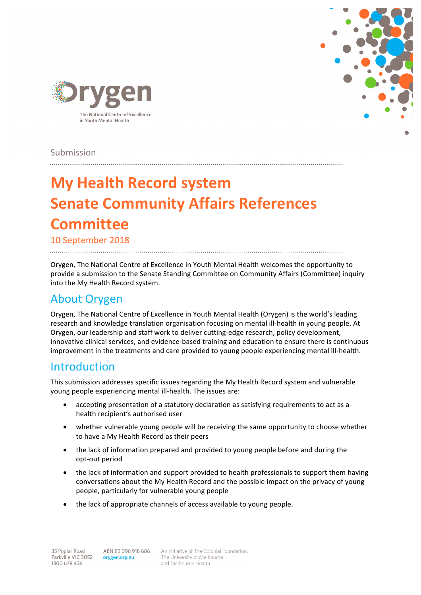



Submission

# **My Health Record system Senate Community Affairs References Committee**

10 September 2018

Orygen, The National Centre of Excellence in Youth Mental Health welcomes the opportunity to provide a submission to the Senate Standing Committee on Community Affairs (Committee) inquiry into the My Health Record system.

## About Orygen

Orygen, The National Centre of Excellence in Youth Mental Health (Orygen) is the world's leading research and knowledge translation organisation focusing on mental ill-health in young people. At Orygen, our leadership and staff work to deliver cutting-edge research, policy development, innovative clinical services, and evidence-based training and education to ensure there is continuous improvement in the treatments and care provided to young people experiencing mental ill-health.

## Introduction

This submission addresses specific issues regarding the My Health Record system and vulnerable young people experiencing mental ill-health. The issues are:

- accepting presentation of a statutory declaration as satisfying requirements to act as a health recipient's authorised user
- whether vulnerable young people will be receiving the same opportunity to choose whether to have a My Health Record as their peers
- the lack of information prepared and provided to young people before and during the opt-out period
- the lack of information and support provided to health professionals to support them having conversations about the My Health Record and the possible impact on the privacy of young people, particularly for vulnerable young people
- $\bullet$  the lack of appropriate channels of access available to young people.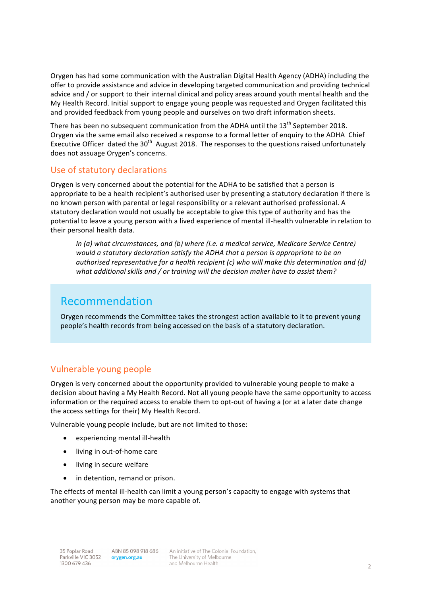Orygen has had some communication with the Australian Digital Health Agency (ADHA) including the offer to provide assistance and advice in developing targeted communication and providing technical advice and / or support to their internal clinical and policy areas around youth mental health and the My Health Record. Initial support to engage young people was requested and Orygen facilitated this and provided feedback from young people and ourselves on two draft information sheets.

There has been no subsequent communication from the ADHA until the  $13^{th}$  September 2018. Orygen via the same email also received a response to a formal letter of enquiry to the ADHA Chief Executive Officer dated the  $30<sup>th</sup>$  August 2018. The responses to the questions raised unfortunately does not assuage Orygen's concerns.

#### Use of statutory declarations

Orygen is very concerned about the potential for the ADHA to be satisfied that a person is appropriate to be a health recipient's authorised user by presenting a statutory declaration if there is no known person with parental or legal responsibility or a relevant authorised professional. A statutory declaration would not usually be acceptable to give this type of authority and has the potential to leave a young person with a lived experience of mental ill-health vulnerable in relation to their personal health data.

*In (a) what circumstances, and (b) where (i.e. a medical service, Medicare Service Centre) would a statutory declaration satisfy the ADHA that a person is appropriate to be an authorised representative for a health recipient (c) who will make this determination and (d) what additional skills and / or training will the decision maker have to assist them?*

## Recommendation

Orygen recommends the Committee takes the strongest action available to it to prevent young people's health records from being accessed on the basis of a statutory declaration.

#### Vulnerable young people

Orygen is very concerned about the opportunity provided to vulnerable young people to make a decision about having a My Health Record. Not all young people have the same opportunity to access information or the required access to enable them to opt-out of having a (or at a later date change the access settings for their) My Health Record.

Vulnerable young people include, but are not limited to those:

- experiencing mental ill-health
- living in out-of-home care
- living in secure welfare
- in detention, remand or prison.

The effects of mental ill-health can limit a young person's capacity to engage with systems that another young person may be more capable of.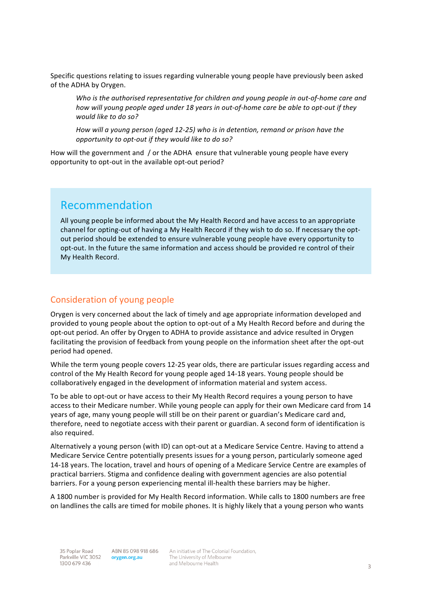Specific questions relating to issues regarding vulnerable young people have previously been asked of the ADHA by Orygen.

*Who is the authorised representative for children and young people in out-of-home care and how will young people gaed under 18 years in out-of-home care be able to opt-out if they would like to do so?*

*How* will a young person (aged 12-25) who is in detention, remand or prison have the opportunity to opt-out if they would like to do so?

How will the government and / or the ADHA ensure that vulnerable young people have every opportunity to opt-out in the available opt-out period?

## Recommendation

All young people be informed about the My Health Record and have access to an appropriate channel for opting-out of having a My Health Record if they wish to do so. If necessary the optout period should be extended to ensure vulnerable young people have every opportunity to opt-out. In the future the same information and access should be provided re control of their My Health Record.

#### Consideration of young people

Orygen is very concerned about the lack of timely and age appropriate information developed and provided to young people about the option to opt-out of a My Health Record before and during the opt-out period. An offer by Orygen to ADHA to provide assistance and advice resulted in Orygen facilitating the provision of feedback from young people on the information sheet after the opt-out period had opened.

While the term young people covers 12-25 year olds, there are particular issues regarding access and control of the My Health Record for young people aged 14-18 years. Young people should be collaboratively engaged in the development of information material and system access.

To be able to opt-out or have access to their My Health Record requires a young person to have access to their Medicare number. While young people can apply for their own Medicare card from 14 years of age, many young people will still be on their parent or guardian's Medicare card and, therefore, need to negotiate access with their parent or guardian. A second form of identification is also required.

Alternatively a voung person (with ID) can opt-out at a Medicare Service Centre. Having to attend a Medicare Service Centre potentially presents issues for a young person, particularly someone aged 14-18 years. The location, travel and hours of opening of a Medicare Service Centre are examples of practical barriers. Stigma and confidence dealing with government agencies are also potential barriers. For a young person experiencing mental ill-health these barriers may be higher.

A 1800 number is provided for My Health Record information. While calls to 1800 numbers are free on landlines the calls are timed for mobile phones. It is highly likely that a young person who wants

ABN 85 098 918 686 orygen.org.au

An initiative of The Colonial Foundation, The University of Melbourne and Melbourne Health